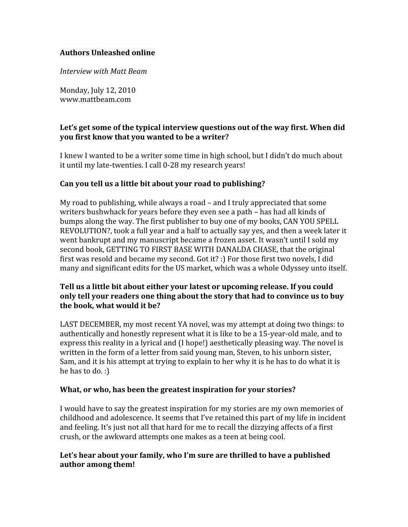## **Authors
Unleashed
online**

*Interview
with
Matt
Beam*

Monday,
July
12,
2010 www.mattbeam.com

## Let's get some of the typical interview questions out of the way first. When did **you
first
know
that
you
wanted
to
be
a
writer?**

I knew I wanted to be a writer some time in high school, but I didn't do much about it until my late-twenties. I call 0-28 my research years!

## **Can
you
tell
us
a
little
bit
about
your
road
to
publishing?**

My road to publishing, while always a road – and I truly appreciated that some writers bushwhack for years before they even see a path – has had all kinds of bumps
along
the
way.
The
first
publisher
to
buy
one
of
my
books,
CAN
YOU
SPELL REVOLUTION?, took a full year and a half to actually say yes, and then a week later it went bankrupt and my manuscript became a frozen asset. It wasn't until I sold my second book, GETTING TO FIRST BASE WITH DANALDA CHASE, that the original first was resold and became my second. Got it? :) For those first two novels, I did many and significant edits for the US market, which was a whole Odyssey unto itself.

# Tell us a little bit about either your latest or upcoming release. If you could only tell your readers one thing about the story that had to convince us to buy **the
book,
what
would
it
be?**

LAST DECEMBER, my most recent YA novel, was my attempt at doing two things: to authentically and honestly represent what it is like to be a 15-year-old male, and to express this reality in a lyrical and (I hope!) aesthetically pleasing way. The novel is written in the form of a letter from said young man, Steven, to his unborn sister, Sam, and it is his attempt at trying to explain to her why it is he has to do what it is he has to do.:

## What, or who, has been the greatest inspiration for your stories?

I would have to say the greatest inspiration for my stories are my own memories of childhood
and
adolescence.
It
seems
that
I've
retained
this
part
of
my
life
in
incident and feeling. It's just not all that hard for me to recall the dizzying affects of a first crush,
or
the
awkward
attempts
one
makes
as
a
teen
at
being
cool.

## Let's hear about your family, who I'm sure are thrilled to have a published **author
among
them!**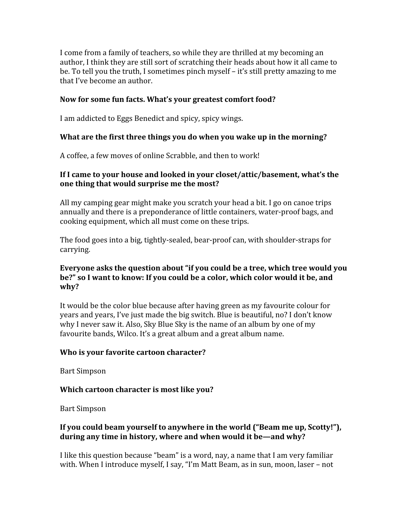I come from a family of teachers, so while they are thrilled at my becoming an author, I think they are still sort of scratching their heads about how it all came to be. To tell you the truth, I sometimes pinch myself – it's still pretty amazing to me that
I've
become
an
author.

## **Now
for
some
fun
facts.
What's
your
greatest
comfort
food?**

I
am
addicted
to
Eggs
Benedict
and
spicy,
spicy
wings.

## What are the first three things you do when you wake up in the morning?

A coffee, a few moves of online Scrabble, and then to work!

## If I came to your house and looked in your closet/attic/basement, what's the **one
thing
that
would
surprise
me
the
most?**

All
my
camping
gear
might
make
you
scratch
your
head
a
bit.
I
go
on
canoe
trips annually
and
there
is
a
preponderance
of
little
containers,
water‐proof
bags,
and cooking
equipment,
which
all
must
come
on
these
trips.

The food goes into a big, tightly-sealed, bear-proof can, with shoulder-straps for carrying.

## Everyone asks the question about "if you could be a tree, which tree would you be?" so I want to know: If you could be a color, which color would it be, and **why?**

It would be the color blue because after having green as my favourite colour for years and years, I've just made the big switch. Blue is beautiful, no? I don't know why I never saw it. Also, Sky Blue Sky is the name of an album by one of my favourite bands, Wilco. It's a great album and a great album name.

## **Who
is
your
favorite
cartoon
character?**

Bart
Simpson

## **Which
cartoon
character
is
most
like
you?**

Bart
Simpson

# If you could beam yourself to anywhere in the world ("Beam me up, Scotty!"), during any time in history, where and when would it be—and why?

I like this question because "beam" is a word, nay, a name that I am very familiar with. When I introduce myself, I say, "I'm Matt Beam, as in sun, moon, laser – not